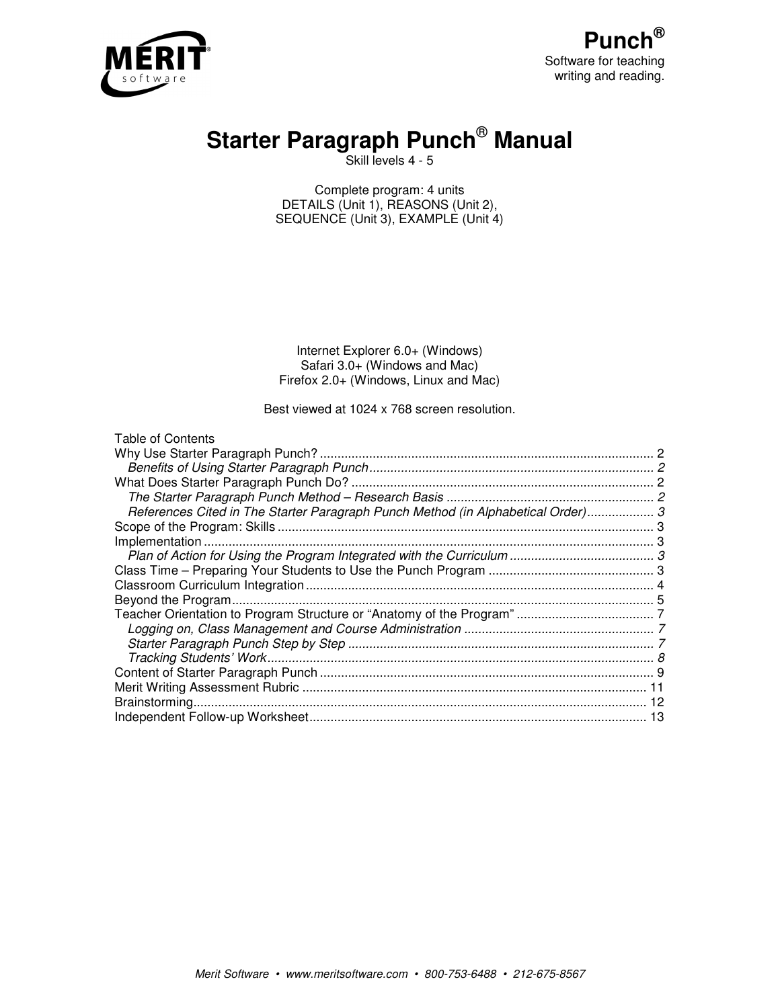

# **Starter Paragraph Punch**®  **Manual**

Skill levels 4 - 5

Complete program: 4 units DETAILS (Unit 1), REASONS (Unit 2), SEQUENCE (Unit 3), EXAMPLE (Unit 4)

Internet Explorer 6.0+ (Windows) Safari 3.0+ (Windows and Mac) Firefox 2.0+ (Windows, Linux and Mac)

Best viewed at 1024 x 768 screen resolution.

| <b>Table of Contents</b>                                                         |  |
|----------------------------------------------------------------------------------|--|
|                                                                                  |  |
|                                                                                  |  |
|                                                                                  |  |
|                                                                                  |  |
| References Cited in The Starter Paragraph Punch Method (in Alphabetical Order) 3 |  |
|                                                                                  |  |
|                                                                                  |  |
|                                                                                  |  |
|                                                                                  |  |
|                                                                                  |  |
|                                                                                  |  |
|                                                                                  |  |
|                                                                                  |  |
|                                                                                  |  |
|                                                                                  |  |
|                                                                                  |  |
|                                                                                  |  |
|                                                                                  |  |
|                                                                                  |  |
|                                                                                  |  |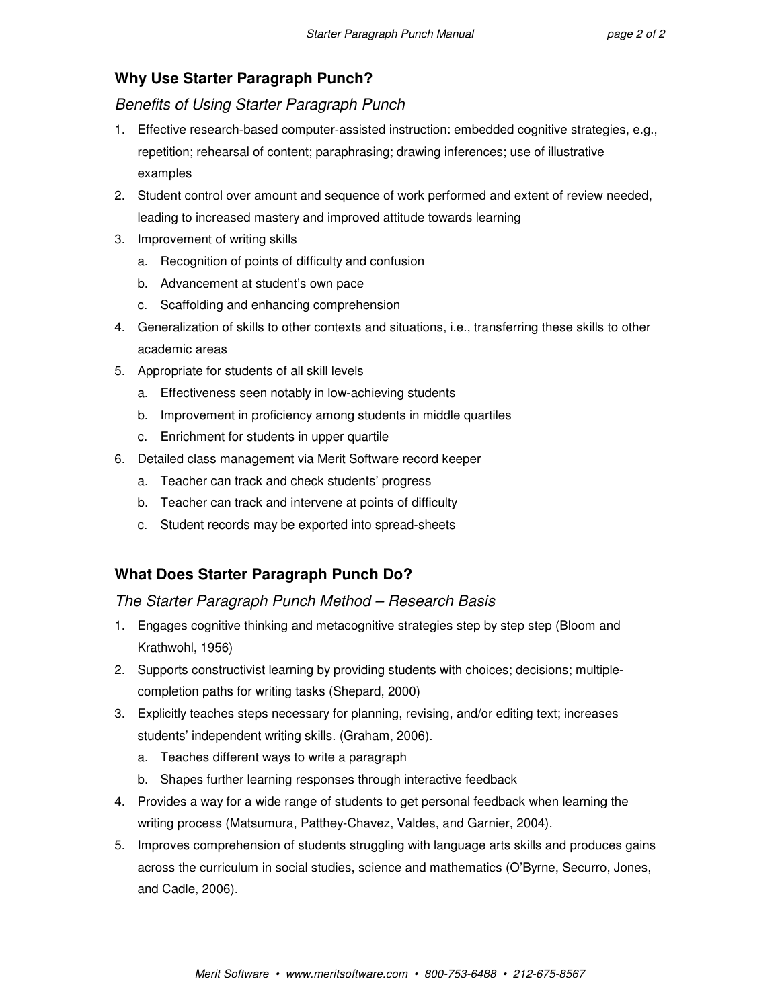# **Why Use Starter Paragraph Punch?**

Benefits of Using Starter Paragraph Punch

- 1. Effective research-based computer-assisted instruction: embedded cognitive strategies, e.g., repetition; rehearsal of content; paraphrasing; drawing inferences; use of illustrative examples
- 2. Student control over amount and sequence of work performed and extent of review needed, leading to increased mastery and improved attitude towards learning
- 3. Improvement of writing skills
	- a. Recognition of points of difficulty and confusion
	- b. Advancement at student's own pace
	- c. Scaffolding and enhancing comprehension
- 4. Generalization of skills to other contexts and situations, i.e., transferring these skills to other academic areas
- 5. Appropriate for students of all skill levels
	- a. Effectiveness seen notably in low-achieving students
	- b. Improvement in proficiency among students in middle quartiles
	- c. Enrichment for students in upper quartile
- 6. Detailed class management via Merit Software record keeper
	- a. Teacher can track and check students' progress
	- b. Teacher can track and intervene at points of difficulty
	- c. Student records may be exported into spread-sheets

# **What Does Starter Paragraph Punch Do?**

# The Starter Paragraph Punch Method – Research Basis

- 1. Engages cognitive thinking and metacognitive strategies step by step step (Bloom and Krathwohl, 1956)
- 2. Supports constructivist learning by providing students with choices; decisions; multiplecompletion paths for writing tasks (Shepard, 2000)
- 3. Explicitly teaches steps necessary for planning, revising, and/or editing text; increases students' independent writing skills. (Graham, 2006).
	- a. Teaches different ways to write a paragraph
	- b. Shapes further learning responses through interactive feedback
- 4. Provides a way for a wide range of students to get personal feedback when learning the writing process (Matsumura, Patthey-Chavez, Valdes, and Garnier, 2004).
- 5. Improves comprehension of students struggling with language arts skills and produces gains across the curriculum in social studies, science and mathematics (O'Byrne, Securro, Jones, and Cadle, 2006).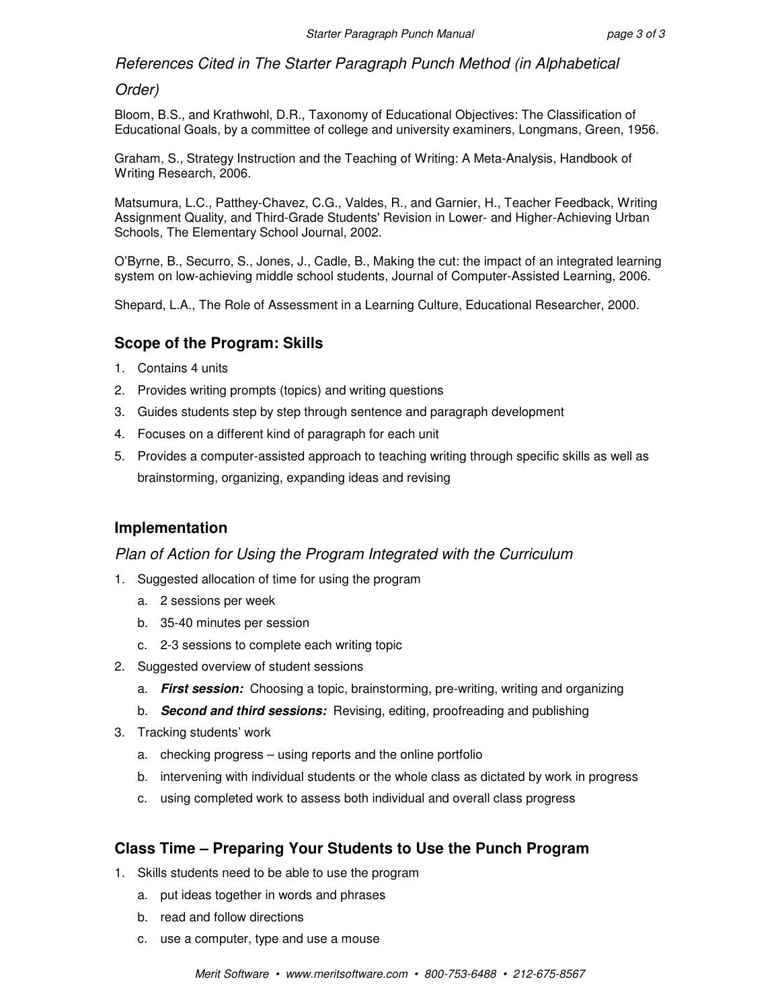References Cited in The Starter Paragraph Punch Method (in Alphabetical

## Order)

Bloom, B.S., and Krathwohl, D.R., Taxonomy of Educational Objectives: The Classification of Educational Goals, by a committee of college and university examiners, Longmans, Green, 1956.

Graham, S., Strategy Instruction and the Teaching of Writing: A Meta-Analysis, Handbook of Writing Research, 2006.

Matsumura, L.C., Patthey-Chavez, C.G., Valdes, R., and Garnier, H., Teacher Feedback, Writing Assignment Quality, and Third-Grade Students' Revision in Lower- and Higher-Achieving Urban Schools, The Elementary School Journal, 2002.

O'Byrne, B., Securro, S., Jones, J., Cadle, B., Making the cut: the impact of an integrated learning system on low-achieving middle school students, Journal of Computer-Assisted Learning, 2006.

Shepard, L.A., The Role of Assessment in a Learning Culture, Educational Researcher, 2000.

# **Scope of the Program: Skills**

- 1. Contains 4 units
- 2. Provides writing prompts (topics) and writing questions
- 3. Guides students step by step through sentence and paragraph development
- 4. Focuses on a different kind of paragraph for each unit
- 5. Provides a computer-assisted approach to teaching writing through specific skills as well as brainstorming, organizing, expanding ideas and revising

# **Implementation**

## Plan of Action for Using the Program Integrated with the Curriculum

- 1. Suggested allocation of time for using the program
	- a. 2 sessions per week
	- b. 35-40 minutes per session
	- c. 2-3 sessions to complete each writing topic
- 2. Suggested overview of student sessions
	- a. **First session:** Choosing a topic, brainstorming, pre-writing, writing and organizing
	- b. **Second and third sessions:** Revising, editing, proofreading and publishing
- 3. Tracking students' work
	- a. checking progress using reports and the online portfolio
	- b. intervening with individual students or the whole class as dictated by work in progress
	- c. using completed work to assess both individual and overall class progress

# **Class Time – Preparing Your Students to Use the Punch Program**

- 1. Skills students need to be able to use the program
	- a. put ideas together in words and phrases
	- b. read and follow directions
	- c. use a computer, type and use a mouse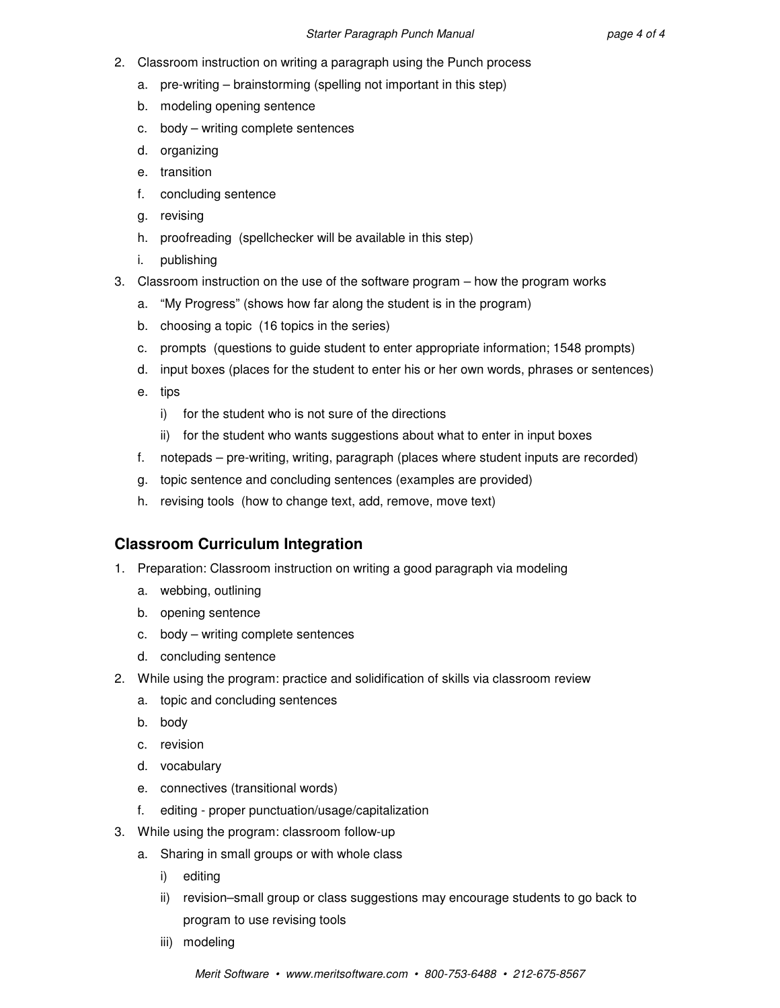- 2. Classroom instruction on writing a paragraph using the Punch process
	- a. pre-writing brainstorming (spelling not important in this step)
	- b. modeling opening sentence
	- c. body writing complete sentences
	- d. organizing
	- e. transition
	- f. concluding sentence
	- g. revising
	- h. proofreading (spellchecker will be available in this step)
	- i. publishing
- 3. Classroom instruction on the use of the software program how the program works
	- a. "My Progress" (shows how far along the student is in the program)
	- b. choosing a topic (16 topics in the series)
	- c. prompts (questions to guide student to enter appropriate information; 1548 prompts)
	- d. input boxes (places for the student to enter his or her own words, phrases or sentences)
	- e. tips
		- i) for the student who is not sure of the directions
		- ii) for the student who wants suggestions about what to enter in input boxes
	- f. notepads pre-writing, writing, paragraph (places where student inputs are recorded)
	- g. topic sentence and concluding sentences (examples are provided)
	- h. revising tools (how to change text, add, remove, move text)

# **Classroom Curriculum Integration**

- 1. Preparation: Classroom instruction on writing a good paragraph via modeling
	- a. webbing, outlining
	- b. opening sentence
	- c. body writing complete sentences
	- d. concluding sentence
- 2. While using the program: practice and solidification of skills via classroom review
	- a. topic and concluding sentences
	- b. body
	- c. revision
	- d. vocabulary
	- e. connectives (transitional words)
	- f. editing proper punctuation/usage/capitalization
- 3. While using the program: classroom follow-up
	- a. Sharing in small groups or with whole class
		- i) editing
		- ii) revision–small group or class suggestions may encourage students to go back to program to use revising tools
		- iii) modeling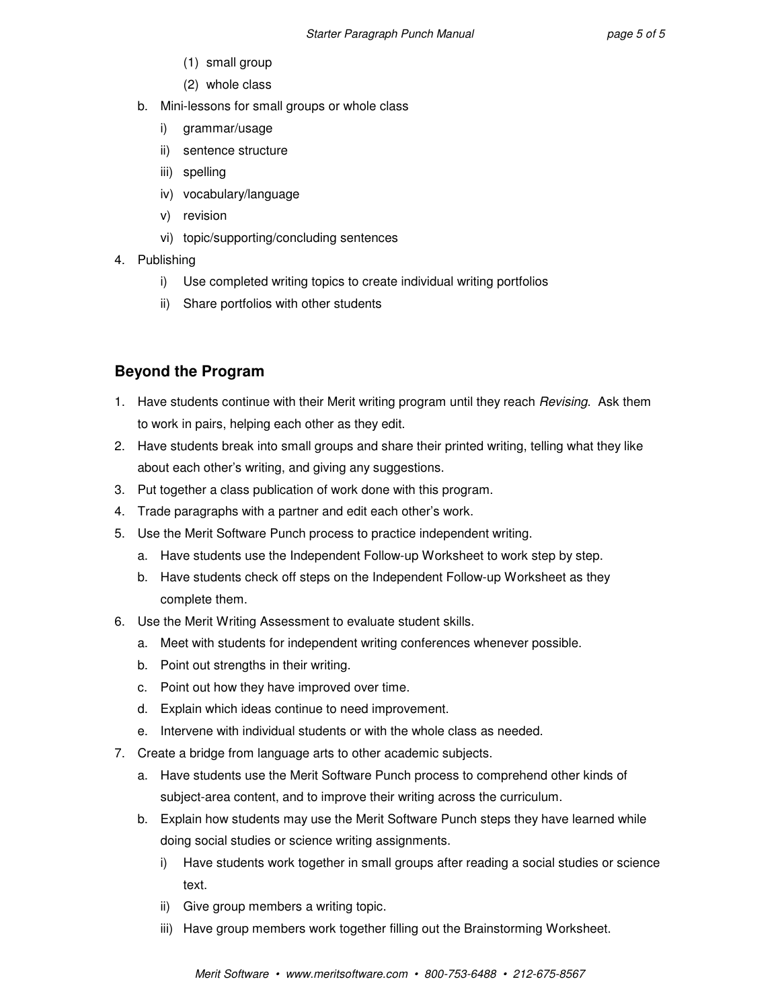- (1) small group
- (2) whole class
- b. Mini-lessons for small groups or whole class
	- i) grammar/usage
	- ii) sentence structure
	- iii) spelling
	- iv) vocabulary/language
	- v) revision
	- vi) topic/supporting/concluding sentences
- 4. Publishing
	- i) Use completed writing topics to create individual writing portfolios
	- ii) Share portfolios with other students

# **Beyond the Program**

- 1. Have students continue with their Merit writing program until they reach Revising. Ask them to work in pairs, helping each other as they edit.
- 2. Have students break into small groups and share their printed writing, telling what they like about each other's writing, and giving any suggestions.
- 3. Put together a class publication of work done with this program.
- 4. Trade paragraphs with a partner and edit each other's work.
- 5. Use the Merit Software Punch process to practice independent writing.
	- a. Have students use the Independent Follow-up Worksheet to work step by step.
	- b. Have students check off steps on the Independent Follow-up Worksheet as they complete them.
- 6. Use the Merit Writing Assessment to evaluate student skills.
	- a. Meet with students for independent writing conferences whenever possible.
	- b. Point out strengths in their writing.
	- c. Point out how they have improved over time.
	- d. Explain which ideas continue to need improvement.
	- e. Intervene with individual students or with the whole class as needed.
- 7. Create a bridge from language arts to other academic subjects.
	- a. Have students use the Merit Software Punch process to comprehend other kinds of subject-area content, and to improve their writing across the curriculum.
	- b. Explain how students may use the Merit Software Punch steps they have learned while doing social studies or science writing assignments.
		- i) Have students work together in small groups after reading a social studies or science text.
		- ii) Give group members a writing topic.
		- iii) Have group members work together filling out the Brainstorming Worksheet.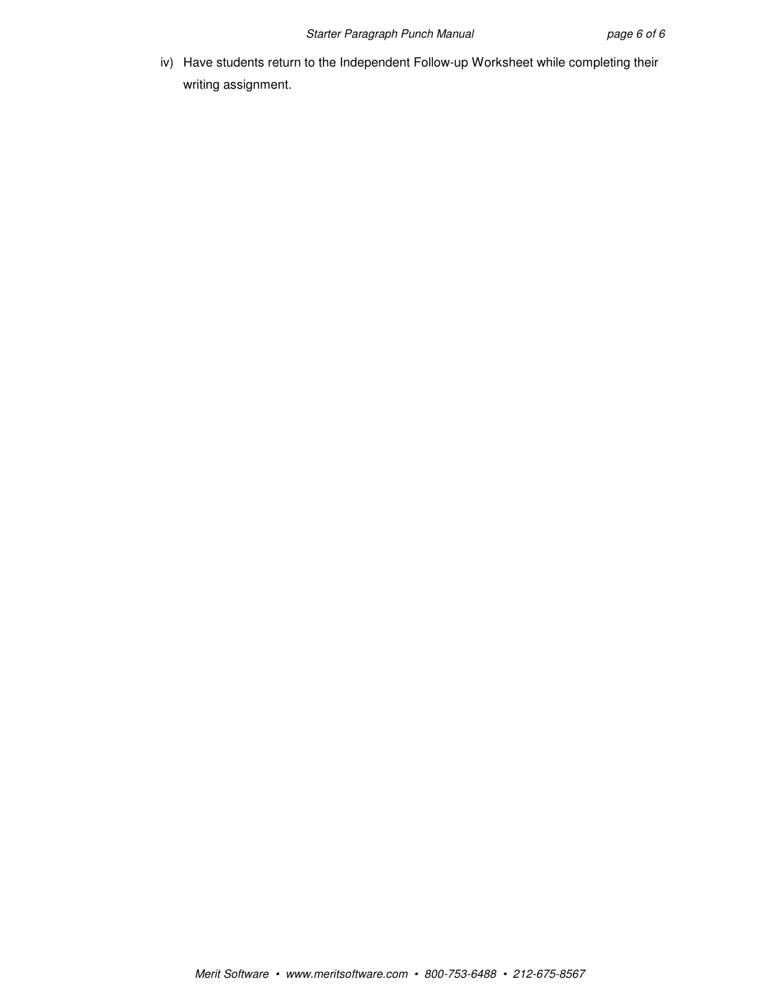iv) Have students return to the Independent Follow-up Worksheet while completing their writing assignment.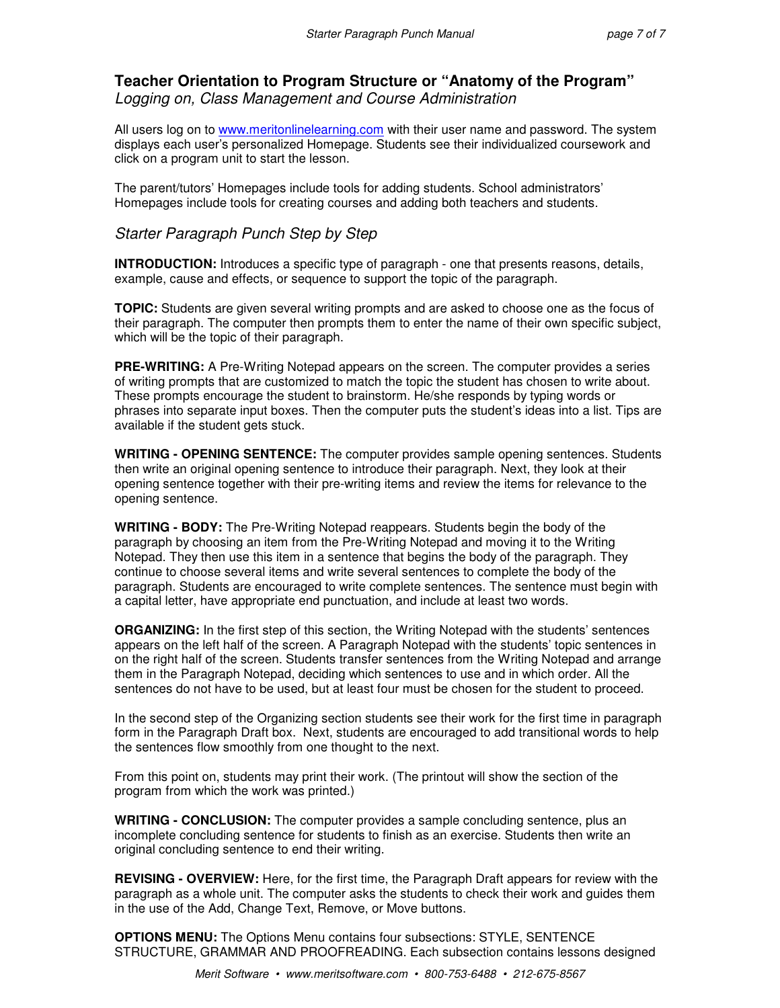# **Teacher Orientation to Program Structure or "Anatomy of the Program"**  Logging on, Class Management and Course Administration

All users log on to www.meritonlinelearning.com with their user name and password. The system displays each user's personalized Homepage. Students see their individualized coursework and click on a program unit to start the lesson.

The parent/tutors' Homepages include tools for adding students. School administrators' Homepages include tools for creating courses and adding both teachers and students.

# Starter Paragraph Punch Step by Step

**INTRODUCTION:** Introduces a specific type of paragraph - one that presents reasons, details, example, cause and effects, or sequence to support the topic of the paragraph.

**TOPIC:** Students are given several writing prompts and are asked to choose one as the focus of their paragraph. The computer then prompts them to enter the name of their own specific subject, which will be the topic of their paragraph.

**PRE-WRITING:** A Pre-Writing Notepad appears on the screen. The computer provides a series of writing prompts that are customized to match the topic the student has chosen to write about. These prompts encourage the student to brainstorm. He/she responds by typing words or phrases into separate input boxes. Then the computer puts the student's ideas into a list. Tips are available if the student gets stuck.

**WRITING - OPENING SENTENCE:** The computer provides sample opening sentences. Students then write an original opening sentence to introduce their paragraph. Next, they look at their opening sentence together with their pre-writing items and review the items for relevance to the opening sentence.

**WRITING - BODY:** The Pre-Writing Notepad reappears. Students begin the body of the paragraph by choosing an item from the Pre-Writing Notepad and moving it to the Writing Notepad. They then use this item in a sentence that begins the body of the paragraph. They continue to choose several items and write several sentences to complete the body of the paragraph. Students are encouraged to write complete sentences. The sentence must begin with a capital letter, have appropriate end punctuation, and include at least two words.

**ORGANIZING:** In the first step of this section, the Writing Notepad with the students' sentences appears on the left half of the screen. A Paragraph Notepad with the students' topic sentences in on the right half of the screen. Students transfer sentences from the Writing Notepad and arrange them in the Paragraph Notepad, deciding which sentences to use and in which order. All the sentences do not have to be used, but at least four must be chosen for the student to proceed.

In the second step of the Organizing section students see their work for the first time in paragraph form in the Paragraph Draft box. Next, students are encouraged to add transitional words to help the sentences flow smoothly from one thought to the next.

From this point on, students may print their work. (The printout will show the section of the program from which the work was printed.)

**WRITING - CONCLUSION:** The computer provides a sample concluding sentence, plus an incomplete concluding sentence for students to finish as an exercise. Students then write an original concluding sentence to end their writing.

**REVISING - OVERVIEW:** Here, for the first time, the Paragraph Draft appears for review with the paragraph as a whole unit. The computer asks the students to check their work and guides them in the use of the Add, Change Text, Remove, or Move buttons.

**OPTIONS MENU:** The Options Menu contains four subsections: STYLE, SENTENCE STRUCTURE, GRAMMAR AND PROOFREADING. Each subsection contains lessons designed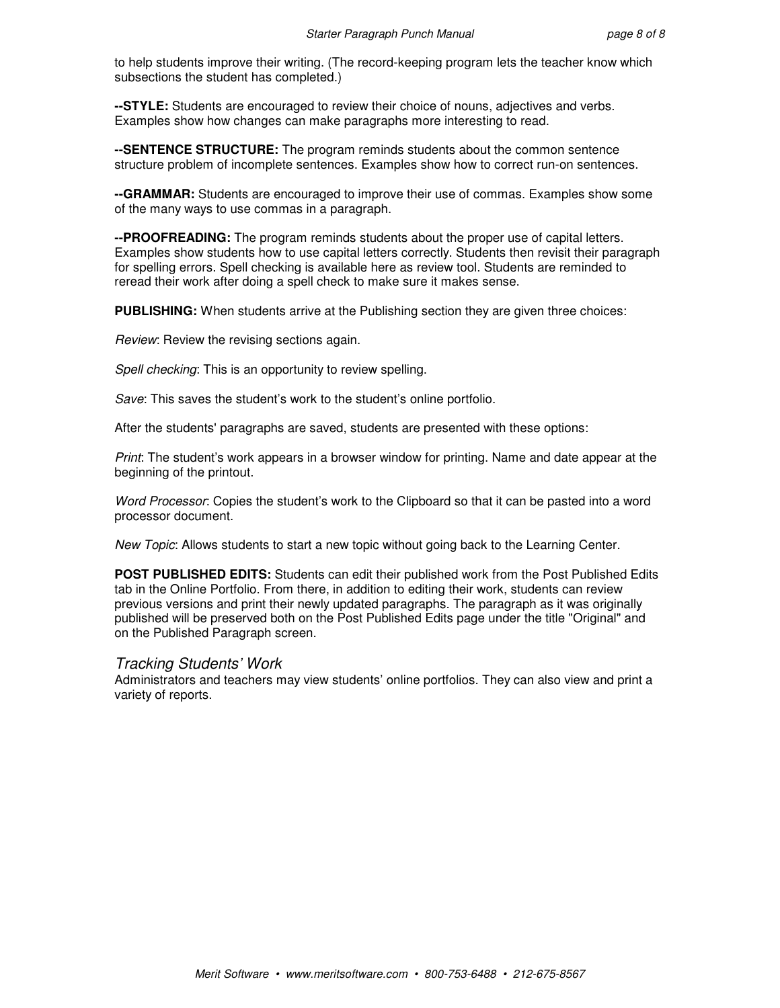to help students improve their writing. (The record-keeping program lets the teacher know which subsections the student has completed.)

**--STYLE:** Students are encouraged to review their choice of nouns, adjectives and verbs. Examples show how changes can make paragraphs more interesting to read.

**--SENTENCE STRUCTURE:** The program reminds students about the common sentence structure problem of incomplete sentences. Examples show how to correct run-on sentences.

**--GRAMMAR:** Students are encouraged to improve their use of commas. Examples show some of the many ways to use commas in a paragraph.

**--PROOFREADING:** The program reminds students about the proper use of capital letters. Examples show students how to use capital letters correctly. Students then revisit their paragraph for spelling errors. Spell checking is available here as review tool. Students are reminded to reread their work after doing a spell check to make sure it makes sense.

**PUBLISHING:** When students arrive at the Publishing section they are given three choices:

Review: Review the revising sections again.

Spell checking: This is an opportunity to review spelling.

Save: This saves the student's work to the student's online portfolio.

After the students' paragraphs are saved, students are presented with these options:

Print: The student's work appears in a browser window for printing. Name and date appear at the beginning of the printout.

Word Processor: Copies the student's work to the Clipboard so that it can be pasted into a word processor document.

New Topic: Allows students to start a new topic without going back to the Learning Center.

**POST PUBLISHED EDITS:** Students can edit their published work from the Post Published Edits tab in the Online Portfolio. From there, in addition to editing their work, students can review previous versions and print their newly updated paragraphs. The paragraph as it was originally published will be preserved both on the Post Published Edits page under the title "Original" and on the Published Paragraph screen.

#### Tracking Students' Work

Administrators and teachers may view students' online portfolios. They can also view and print a variety of reports.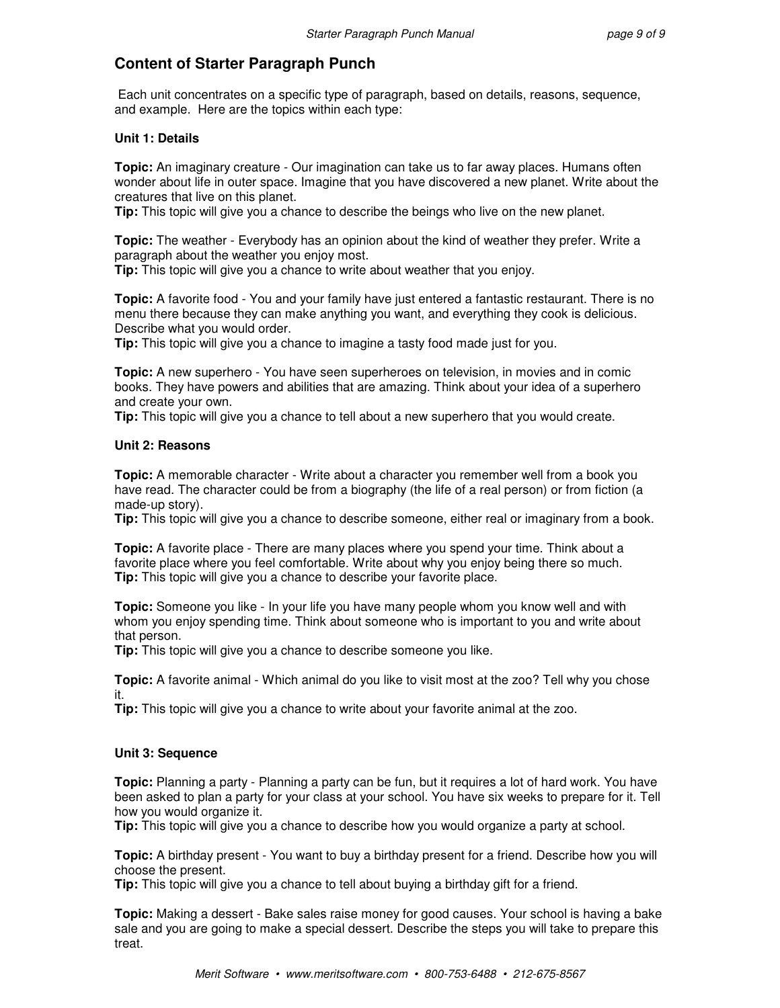# **Content of Starter Paragraph Punch**

 Each unit concentrates on a specific type of paragraph, based on details, reasons, sequence, and example. Here are the topics within each type:

#### **Unit 1: Details**

**Topic:** An imaginary creature - Our imagination can take us to far away places. Humans often wonder about life in outer space. Imagine that you have discovered a new planet. Write about the creatures that live on this planet.

**Tip:** This topic will give you a chance to describe the beings who live on the new planet.

**Topic:** The weather - Everybody has an opinion about the kind of weather they prefer. Write a paragraph about the weather you enjoy most.

**Tip:** This topic will give you a chance to write about weather that you enjoy.

**Topic:** A favorite food - You and your family have just entered a fantastic restaurant. There is no menu there because they can make anything you want, and everything they cook is delicious. Describe what you would order.

**Tip:** This topic will give you a chance to imagine a tasty food made just for you.

**Topic:** A new superhero - You have seen superheroes on television, in movies and in comic books. They have powers and abilities that are amazing. Think about your idea of a superhero and create your own.

**Tip:** This topic will give you a chance to tell about a new superhero that you would create.

#### **Unit 2: Reasons**

**Topic:** A memorable character - Write about a character you remember well from a book you have read. The character could be from a biography (the life of a real person) or from fiction (a made-up story).

**Tip:** This topic will give you a chance to describe someone, either real or imaginary from a book.

**Topic:** A favorite place - There are many places where you spend your time. Think about a favorite place where you feel comfortable. Write about why you enjoy being there so much. **Tip:** This topic will give you a chance to describe your favorite place.

**Topic:** Someone you like - In your life you have many people whom you know well and with whom you enjoy spending time. Think about someone who is important to you and write about that person.

**Tip:** This topic will give you a chance to describe someone you like.

**Topic:** A favorite animal - Which animal do you like to visit most at the zoo? Tell why you chose it.

**Tip:** This topic will give you a chance to write about your favorite animal at the zoo.

#### **Unit 3: Sequence**

**Topic:** Planning a party - Planning a party can be fun, but it requires a lot of hard work. You have been asked to plan a party for your class at your school. You have six weeks to prepare for it. Tell how you would organize it.

**Tip:** This topic will give you a chance to describe how you would organize a party at school.

**Topic:** A birthday present - You want to buy a birthday present for a friend. Describe how you will choose the present.

**Tip:** This topic will give you a chance to tell about buying a birthday gift for a friend.

**Topic:** Making a dessert - Bake sales raise money for good causes. Your school is having a bake sale and you are going to make a special dessert. Describe the steps you will take to prepare this treat.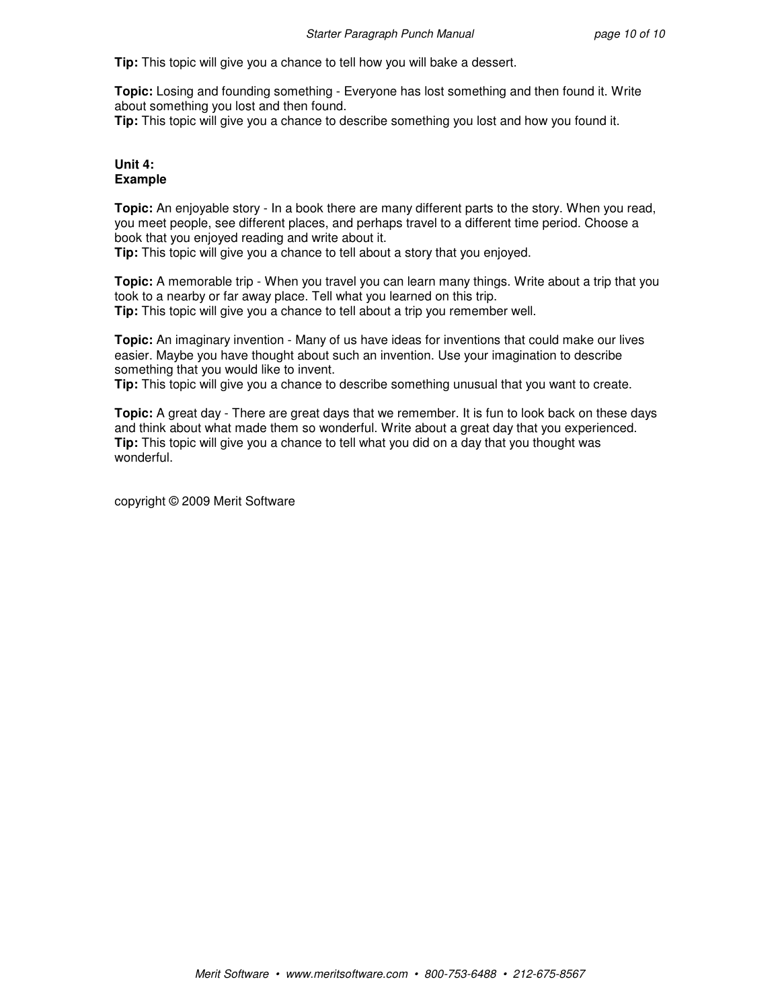**Tip:** This topic will give you a chance to tell how you will bake a dessert.

**Topic:** Losing and founding something - Everyone has lost something and then found it. Write about something you lost and then found.

**Tip:** This topic will give you a chance to describe something you lost and how you found it.

#### **Unit 4: Example**

**Topic:** An enjoyable story - In a book there are many different parts to the story. When you read, you meet people, see different places, and perhaps travel to a different time period. Choose a book that you enjoyed reading and write about it.

**Tip:** This topic will give you a chance to tell about a story that you enjoyed.

**Topic:** A memorable trip - When you travel you can learn many things. Write about a trip that you took to a nearby or far away place. Tell what you learned on this trip. **Tip:** This topic will give you a chance to tell about a trip you remember well.

**Topic:** An imaginary invention - Many of us have ideas for inventions that could make our lives easier. Maybe you have thought about such an invention. Use your imagination to describe something that you would like to invent.

**Tip:** This topic will give you a chance to describe something unusual that you want to create.

**Topic:** A great day - There are great days that we remember. It is fun to look back on these days and think about what made them so wonderful. Write about a great day that you experienced. **Tip:** This topic will give you a chance to tell what you did on a day that you thought was wonderful.

copyright © 2009 Merit Software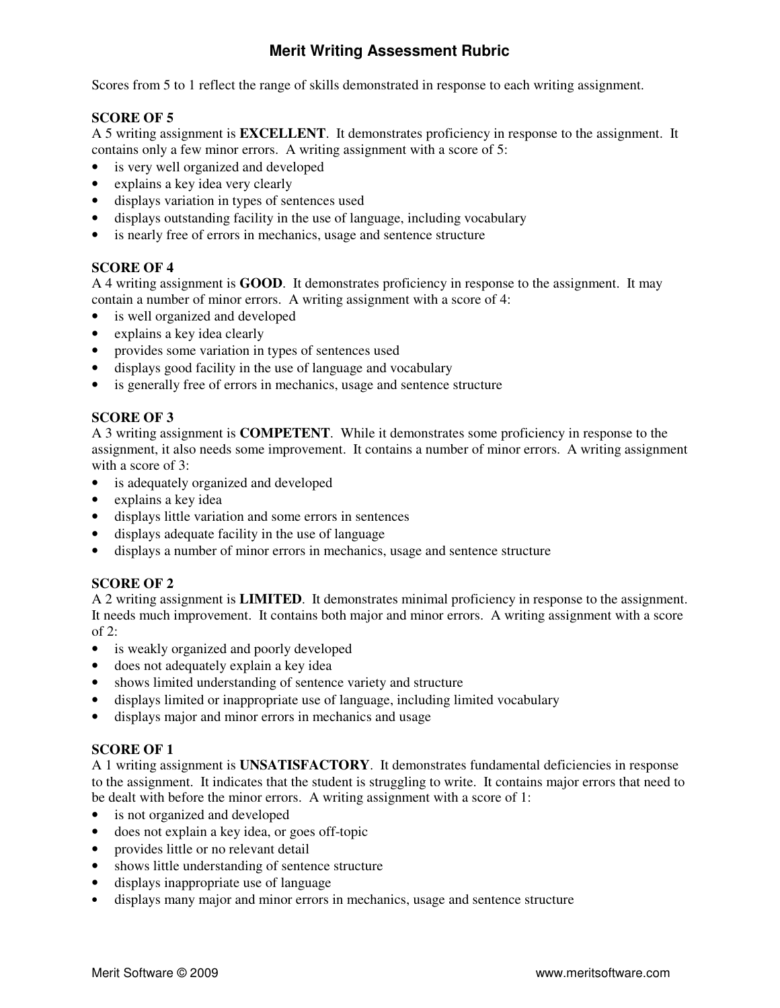# **Merit Writing Assessment Rubric**

Scores from 5 to 1 reflect the range of skills demonstrated in response to each writing assignment.

# **SCORE OF 5**

A 5 writing assignment is **EXCELLENT**. It demonstrates proficiency in response to the assignment. It contains only a few minor errors. A writing assignment with a score of 5:

- is very well organized and developed
- explains a key idea very clearly
- displays variation in types of sentences used
- displays outstanding facility in the use of language, including vocabulary
- is nearly free of errors in mechanics, usage and sentence structure

# **SCORE OF 4**

A 4 writing assignment is **GOOD**. It demonstrates proficiency in response to the assignment. It may contain a number of minor errors. A writing assignment with a score of 4:

- is well organized and developed
- explains a key idea clearly
- provides some variation in types of sentences used
- displays good facility in the use of language and vocabulary
- is generally free of errors in mechanics, usage and sentence structure

# **SCORE OF 3**

A 3 writing assignment is **COMPETENT**. While it demonstrates some proficiency in response to the assignment, it also needs some improvement. It contains a number of minor errors. A writing assignment with a score of 3:

- is adequately organized and developed
- explains a key idea
- displays little variation and some errors in sentences
- displays adequate facility in the use of language
- displays a number of minor errors in mechanics, usage and sentence structure

# **SCORE OF 2**

A 2 writing assignment is **LIMITED**. It demonstrates minimal proficiency in response to the assignment. It needs much improvement. It contains both major and minor errors. A writing assignment with a score of 2:

- is weakly organized and poorly developed
- does not adequately explain a key idea
- shows limited understanding of sentence variety and structure
- displays limited or inappropriate use of language, including limited vocabulary
- displays major and minor errors in mechanics and usage

# **SCORE OF 1**

A 1 writing assignment is **UNSATISFACTORY**. It demonstrates fundamental deficiencies in response to the assignment. It indicates that the student is struggling to write. It contains major errors that need to be dealt with before the minor errors. A writing assignment with a score of 1:

- is not organized and developed
- does not explain a key idea, or goes off-topic
- provides little or no relevant detail
- shows little understanding of sentence structure
- displays inappropriate use of language
- displays many major and minor errors in mechanics, usage and sentence structure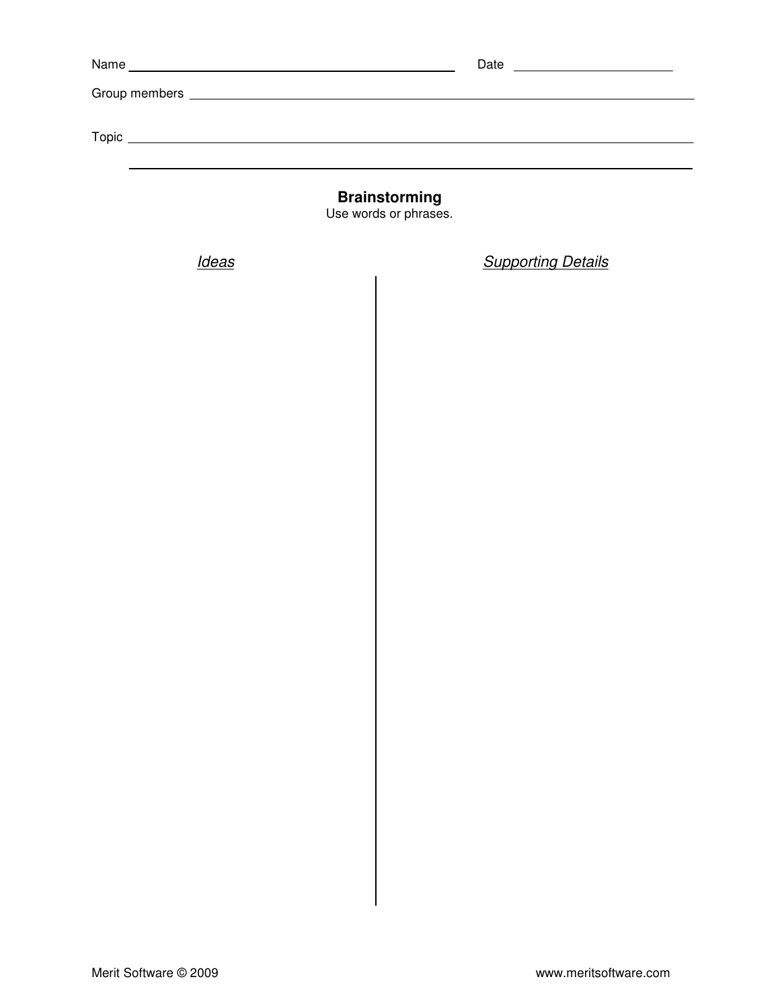| Name<br><u> 1989 - Andrea Aonaichte ann an t-Aonaichte ann an t-Aonaichte ann an t-Aonaichte ann an t-Aonaichte ann an t-</u> | Date<br><u> 1980 - Andrea Station Barbara, amerikan personal (h. 1980)</u> |
|-------------------------------------------------------------------------------------------------------------------------------|----------------------------------------------------------------------------|
|                                                                                                                               |                                                                            |
|                                                                                                                               |                                                                            |
| Topic                                                                                                                         |                                                                            |
|                                                                                                                               |                                                                            |
|                                                                                                                               |                                                                            |

**Brainstorming** 

Use words or phrases.

Ideas **Supporting Details**